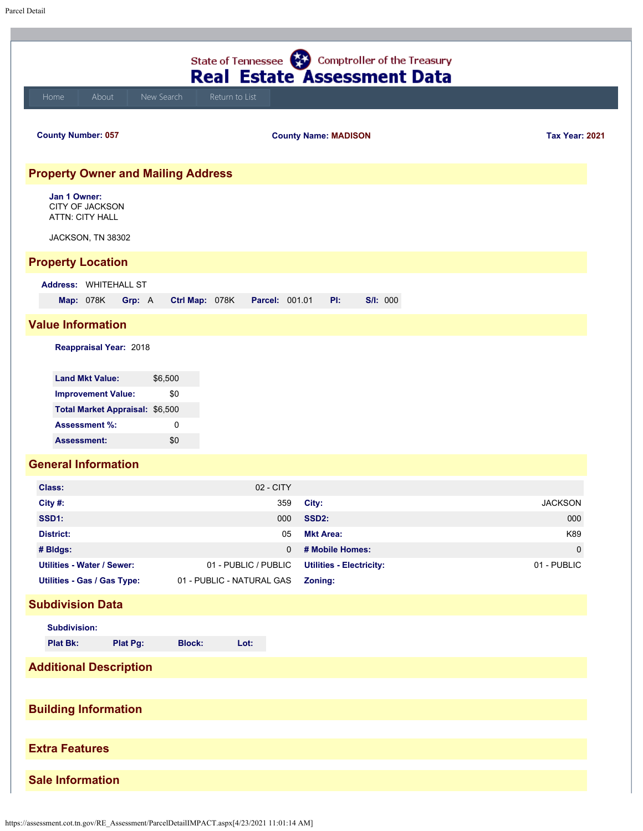| State of Tennessee (22) Comptroller of the Treasury<br><b>Real Estate Assessment Data</b>                      |                     |                           |                                     |                       |  |  |  |  |  |  |
|----------------------------------------------------------------------------------------------------------------|---------------------|---------------------------|-------------------------------------|-----------------------|--|--|--|--|--|--|
| About<br>Home                                                                                                  | New Search          | Return to List            |                                     |                       |  |  |  |  |  |  |
| <b>County Number: 057</b>                                                                                      |                     |                           | <b>County Name: MADISON</b>         | <b>Tax Year: 2021</b> |  |  |  |  |  |  |
| <b>Property Owner and Mailing Address</b>                                                                      |                     |                           |                                     |                       |  |  |  |  |  |  |
| Jan 1 Owner:<br><b>CITY OF JACKSON</b><br><b>ATTN: CITY HALL</b>                                               |                     |                           |                                     |                       |  |  |  |  |  |  |
| JACKSON, TN 38302                                                                                              |                     |                           |                                     |                       |  |  |  |  |  |  |
| <b>Property Location</b>                                                                                       |                     |                           |                                     |                       |  |  |  |  |  |  |
| Address: WHITEHALL ST<br><b>Map: 078K</b><br>Grp: A                                                            | Ctrl Map: 078K      | <b>Parcel: 001.01</b>     | PI:<br><b>S/I: 000</b>              |                       |  |  |  |  |  |  |
|                                                                                                                |                     |                           |                                     |                       |  |  |  |  |  |  |
| <b>Value Information</b>                                                                                       |                     |                           |                                     |                       |  |  |  |  |  |  |
| Reappraisal Year: 2018                                                                                         |                     |                           |                                     |                       |  |  |  |  |  |  |
| <b>Land Mkt Value:</b><br><b>Improvement Value:</b><br>Total Market Appraisal: \$6,500<br><b>Assessment %:</b> | \$6,500<br>\$0<br>0 |                           |                                     |                       |  |  |  |  |  |  |
| <b>Assessment:</b>                                                                                             | \$0                 |                           |                                     |                       |  |  |  |  |  |  |
| <b>General Information</b>                                                                                     |                     |                           |                                     |                       |  |  |  |  |  |  |
| <b>Class:</b>                                                                                                  |                     | 02 - CITY                 |                                     |                       |  |  |  |  |  |  |
| City #:                                                                                                        |                     | 359                       | City:                               | <b>JACKSON</b>        |  |  |  |  |  |  |
| SSD1:                                                                                                          |                     | 000                       | SSD2:                               | 000                   |  |  |  |  |  |  |
| <b>District:</b><br># Bldgs:                                                                                   |                     | 05<br>0                   | <b>Mkt Area:</b><br># Mobile Homes: | K89<br>$\mathbf{0}$   |  |  |  |  |  |  |
| <b>Utilities - Water / Sewer:</b>                                                                              |                     | 01 - PUBLIC / PUBLIC      | <b>Utilities - Electricity:</b>     | 01 - PUBLIC           |  |  |  |  |  |  |
| Utilities - Gas / Gas Type:                                                                                    |                     | 01 - PUBLIC - NATURAL GAS | Zoning:                             |                       |  |  |  |  |  |  |
| <b>Subdivision Data</b>                                                                                        |                     |                           |                                     |                       |  |  |  |  |  |  |
| <b>Subdivision:</b>                                                                                            |                     |                           |                                     |                       |  |  |  |  |  |  |
| <b>Plat Bk:</b><br>Plat Pg:                                                                                    | <b>Block:</b>       | Lot:                      |                                     |                       |  |  |  |  |  |  |
| <b>Additional Description</b>                                                                                  |                     |                           |                                     |                       |  |  |  |  |  |  |
|                                                                                                                |                     |                           |                                     |                       |  |  |  |  |  |  |
| <b>Building Information</b>                                                                                    |                     |                           |                                     |                       |  |  |  |  |  |  |
| <b>Extra Features</b>                                                                                          |                     |                           |                                     |                       |  |  |  |  |  |  |
|                                                                                                                |                     |                           |                                     |                       |  |  |  |  |  |  |
| <b>Sale Information</b>                                                                                        |                     |                           |                                     |                       |  |  |  |  |  |  |